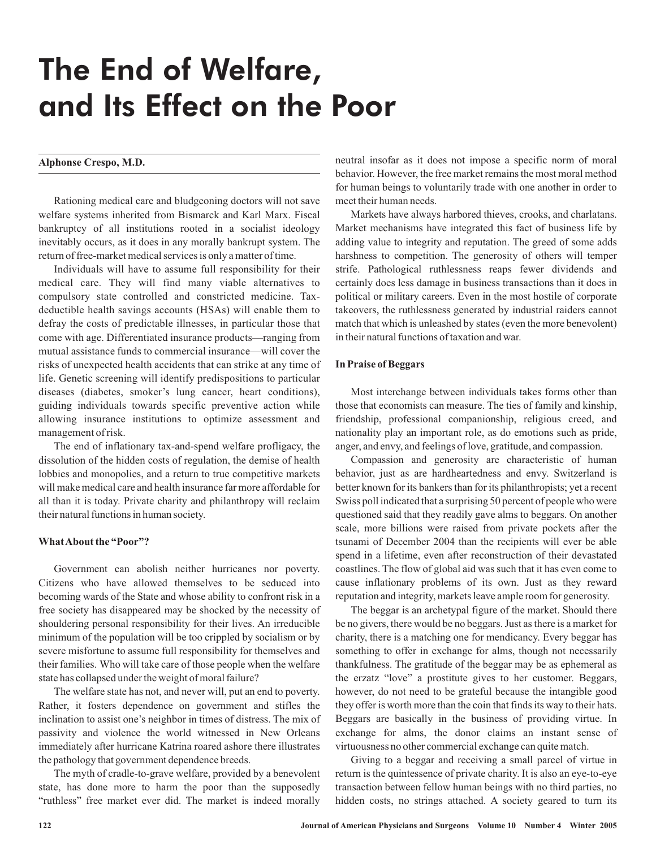# The End of Welfare, and Its Effect on the Poor

Rationing medical care and bludgeoning doctors will not save welfare systems inherited from Bismarck and Karl Marx. Fiscal bankruptcy of all institutions rooted in a socialist ideology inevitably occurs, as it does in any morally bankrupt system. The return of free-market medical services is only a matter of time.

Individuals will have to assume full responsibility for their medical care. They will find many viable alternatives to compulsory state controlled and constricted medicine. Taxdeductible health savings accounts (HSAs) will enable them to defray the costs of predictable illnesses, in particular those that come with age. Differentiated insurance products—ranging from mutual assistance funds to commercial insurance—will cover the risks of unexpected health accidents that can strike at any time of life. Genetic screening will identify predispositions to particular diseases (diabetes, smoker's lung cancer, heart conditions), guiding individuals towards specific preventive action while allowing insurance institutions to optimize assessment and management of risk.

The end of inflationary tax-and-spend welfare profligacy, the dissolution of the hidden costs of regulation, the demise of health lobbies and monopolies, and a return to true competitive markets will make medical care and health insurance far more affordable for all than it is today. Private charity and philanthropy will reclaim their natural functions in human society.

# **WhatAbout the "Poor"?**

Government can abolish neither hurricanes nor poverty. Citizens who have allowed themselves to be seduced into becoming wards of the State and whose ability to confront risk in a free society has disappeared may be shocked by the necessity of shouldering personal responsibility for their lives. An irreducible minimum of the population will be too crippled by socialism or by severe misfortune to assume full responsibility for themselves and their families. Who will take care of those people when the welfare state has collapsed under the weight of moral failure?

The welfare state has not, and never will, put an end to poverty. Rather, it fosters dependence on government and stifles the inclination to assist one's neighbor in times of distress. The mix of passivity and violence the world witnessed in New Orleans immediately after hurricane Katrina roared ashore there illustrates the pathology that government dependence breeds.

The myth of cradle-to-grave welfare, provided by a benevolent state, has done more to harm the poor than the supposedly "ruthless" free market ever did. The market is indeed morally

Alphonse Crespo, M.D. **Alphonse Crespo, M.D.** neutral insofar as it does not impose a specific norm of moral behavior. However, the free market remains the most moral method for human beings to voluntarily trade with one another in order to meet their human needs.

> Markets have always harbored thieves, crooks, and charlatans. Market mechanisms have integrated this fact of business life by adding value to integrity and reputation. The greed of some adds harshness to competition. The generosity of others will temper strife. Pathological ruthlessness reaps fewer dividends and certainly does less damage in business transactions than it does in political or military careers. Even in the most hostile of corporate takeovers, the ruthlessness generated by industrial raiders cannot match that which is unleashed by states (even the more benevolent) in their natural functions of taxation and war.

#### **In Praise of Beggars**

Most interchange between individuals takes forms other than those that economists can measure. The ties of family and kinship, friendship, professional companionship, religious creed, and nationality play an important role, as do emotions such as pride, anger, and envy, and feelings of love, gratitude, and compassion.

Compassion and generosity are characteristic of human behavior, just as are hardheartedness and envy. Switzerland is better known for its bankers than for its philanthropists; yet a recent Swiss poll indicated that a surprising 50 percent of people who were questioned said that they readily gave alms to beggars. On another scale, more billions were raised from private pockets after the tsunami of December 2004 than the recipients will ever be able spend in a lifetime, even after reconstruction of their devastated coastlines. The flow of global aid was such that it has even come to cause inflationary problems of its own. Just as they reward reputation and integrity, markets leave ample room for generosity.

The beggar is an archetypal figure of the market. Should there be no givers, there would be no beggars. Just as there is a market for charity, there is a matching one for mendicancy. Every beggar has something to offer in exchange for alms, though not necessarily thankfulness. The gratitude of the beggar may be as ephemeral as the erzatz "love" a prostitute gives to her customer. Beggars, however, do not need to be grateful because the intangible good they offer is worth more than the coin that finds its way to their hats. Beggars are basically in the business of providing virtue. In exchange for alms, the donor claims an instant sense of virtuousness no other commercial exchange can quite match.

Giving to a beggar and receiving a small parcel of virtue in return is the quintessence of private charity. It is also an eye-to-eye transaction between fellow human beings with no third parties, no hidden costs, no strings attached. A society geared to turn its